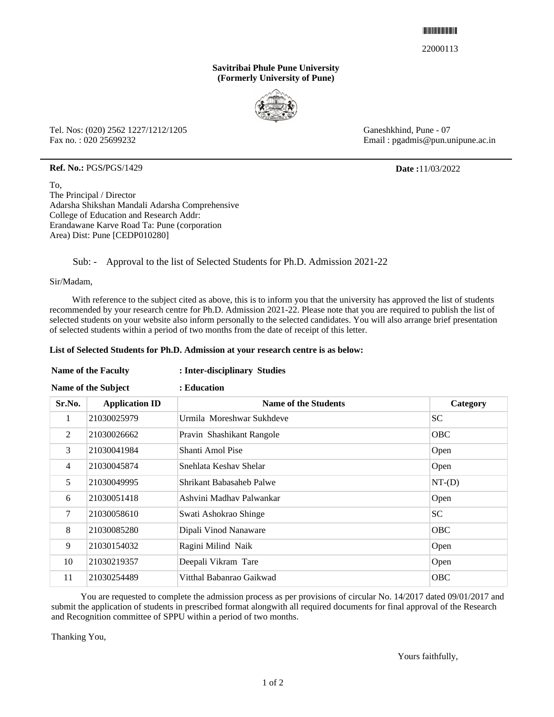#### \*22000113\*

22000113

### **Savitribai Phule Pune University (Formerly University of Pune)**



Tel. Nos: (020) 2562 1227/1212/1205 Fax no. : 020 25699232

Ganeshkhind, Pune - 07 Email : pgadmis@pun.unipune.ac.in

### **Ref. No.:** PGS**/**PGS/1429 **Date :**11/03/2022

To, The Principal / Director Adarsha Shikshan Mandali Adarsha Comprehensive College of Education and Research Addr: Erandawane Karve Road Ta: Pune (corporation Area) Dist: Pune [CEDP010280]

## Sub: - Approval to the list of Selected Students for Ph.D. Admission 2021-22

Sir/Madam,

 With reference to the subject cited as above, this is to inform you that the university has approved the list of students recommended by your research centre for Ph.D. Admission 2021-22. Please note that you are required to publish the list of selected students on your website also inform personally to the selected candidates. You will also arrange brief presentation of selected students within a period of two months from the date of receipt of this letter.

### **List of Selected Students for Ph.D. Admission at your research centre is as below:**

# **Name of the Faculty : Inter-disciplinary Studies**

| Name of the Subject |                       | : Education                 |            |
|---------------------|-----------------------|-----------------------------|------------|
| Sr.No.              | <b>Application ID</b> | <b>Name of the Students</b> | Category   |
| 1                   | 21030025979           | Urmila Moreshwar Sukhdeve   | SC.        |
| 2                   | 21030026662           | Pravin Shashikant Rangole   | <b>OBC</b> |
| 3                   | 21030041984           | Shanti Amol Pise            | Open       |
| $\overline{4}$      | 21030045874           | Snehlata Keshav Shelar      | Open       |
| 5                   | 21030049995           | Shrikant Babasaheb Palwe    | $NT-(D)$   |
| 6                   | 21030051418           | Ashvini Madhav Palwankar    | Open       |
| 7                   | 21030058610           | Swati Ashokrao Shinge       | <b>SC</b>  |
| 8                   | 21030085280           | Dipali Vinod Nanaware       | <b>OBC</b> |
| 9                   | 21030154032           | Ragini Milind Naik          | Open       |
| 10                  | 21030219357           | Deepali Vikram Tare         | Open       |
| 11                  | 21030254489           | Vitthal Babanrao Gaikwad    | <b>OBC</b> |

 You are requested to complete the admission process as per provisions of circular No. 14/2017 dated 09/01/2017 and submit the application of students in prescribed format alongwith all required documents for final approval of the Research and Recognition committee of SPPU within a period of two months.

Thanking You,

Yours faithfully,